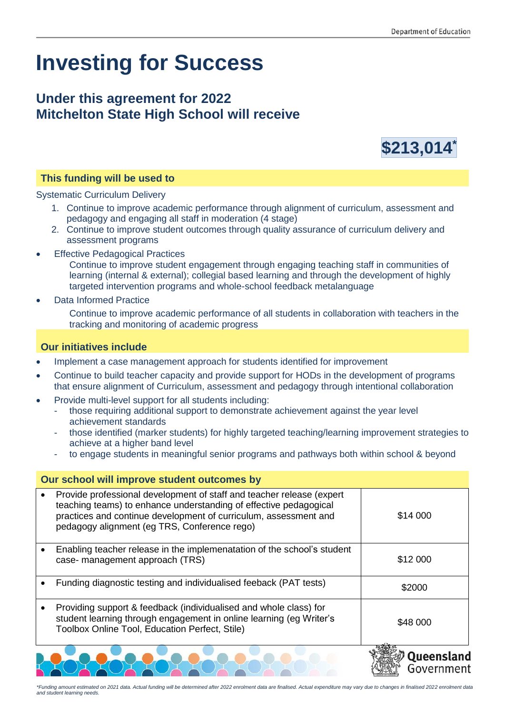## **Investing for Success**

## **Under this agreement for 2022 Mitchelton State High School will receive**



## **This funding will be used to**

Systematic Curriculum Delivery

- 1. Continue to improve academic performance through alignment of curriculum, assessment and pedagogy and engaging all staff in moderation (4 stage)
- 2. Continue to improve student outcomes through quality assurance of curriculum delivery and assessment programs
- **Effective Pedagogical Practices**

Continue to improve student engagement through engaging teaching staff in communities of learning (internal & external); collegial based learning and through the development of highly targeted intervention programs and whole-school feedback metalanguage

• Data Informed Practice

Continue to improve academic performance of all students in collaboration with teachers in the tracking and monitoring of academic progress

## **Our initiatives include**

- Implement a case management approach for students identified for improvement
- Continue to build teacher capacity and provide support for HODs in the development of programs that ensure alignment of Curriculum, assessment and pedagogy through intentional collaboration
- Provide multi-level support for all students including:
	- those requiring additional support to demonstrate achievement against the year level achievement standards
	- those identified (marker students) for highly targeted teaching/learning improvement strategies to achieve at a higher band level
	- to engage students in meaningful senior programs and pathways both within school & beyond

| Our school will improve student outcomes by |                                                                                                                                                                                                                                                                |               |
|---------------------------------------------|----------------------------------------------------------------------------------------------------------------------------------------------------------------------------------------------------------------------------------------------------------------|---------------|
|                                             | Provide professional development of staff and teacher release (expert<br>teaching teams) to enhance understanding of effective pedagogical<br>practices and continue development of curriculum, assessment and<br>pedagogy alignment (eg TRS, Conference rego) | \$14 000      |
|                                             | Enabling teacher release in the implemenatation of the school's student<br>case- management approach (TRS)                                                                                                                                                     | \$12 000      |
|                                             | Funding diagnostic testing and individualised feeback (PAT tests)                                                                                                                                                                                              | \$2000        |
|                                             | Providing support & feedback (individualised and whole class) for<br>student learning through engagement in online learning (eg Writer's<br>Toolbox Online Tool, Education Perfect, Stile)                                                                     | \$48 000      |
|                                             |                                                                                                                                                                                                                                                                | 2000000000000 |